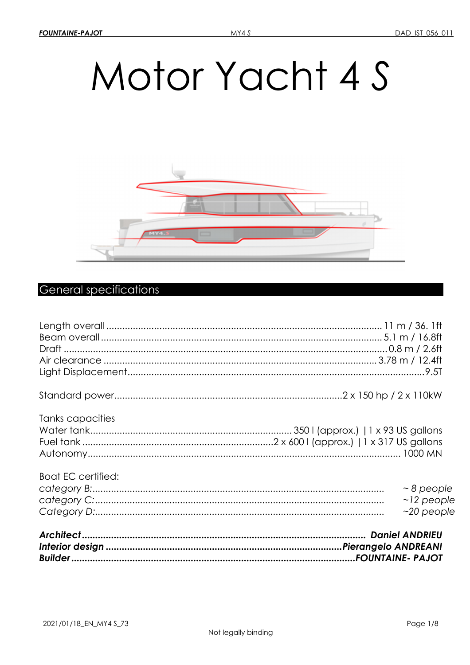# Motor Yacht 4 S



# **General specifications**

| <b>Boat EC certified:</b> | $\sim$ 8 people<br>$\sim$ 12 people<br>$~20$ people |
|---------------------------|-----------------------------------------------------|
| Tanks capacities          |                                                     |
|                           |                                                     |
|                           |                                                     |
|                           |                                                     |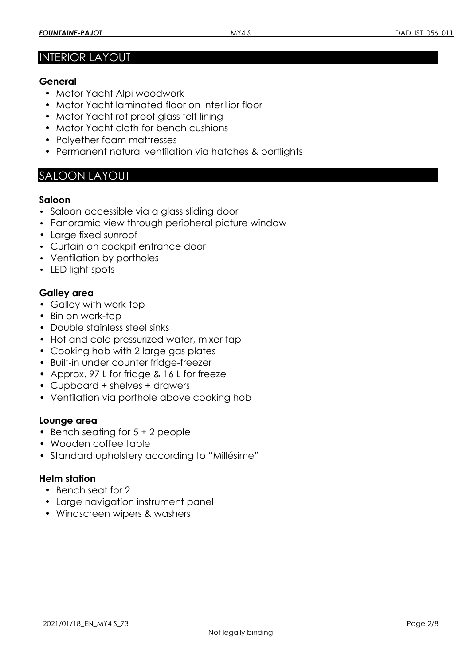# INTERIOR LAYOUT

#### **General**

- Motor Yacht Alpi woodwork
- Motor Yacht laminated floor on Inter1ior floor
- Motor Yacht rot proof glass felt lining
- Motor Yacht cloth for bench cushions
- Polyether foam mattresses
- Permanent natural ventilation via hatches & portlights

# SALOON LAYOUT

#### **Saloon**

- Saloon accessible via a glass sliding door
- Panoramic view through peripheral picture window
- Large fixed sunroof
- Curtain on cockpit entrance door
- Ventilation by portholes
- LED light spots

#### **Galley area**

- Galley with work-top
- Bin on work-top
- Double stainless steel sinks
- Hot and cold pressurized water, mixer tap
- Cooking hob with 2 large gas plates
- Built-in under counter fridge-freezer
- Approx. 97 L for fridge & 16 L for freeze
- Cupboard + shelves + drawers
- Ventilation via porthole above cooking hob

#### **Lounge area**

- Bench seating for 5 + 2 people
- Wooden coffee table
- Standard upholstery according to "Millésime"

#### **Helm station**

- Bench seat for 2
- Large navigation instrument panel
- Windscreen wipers & washers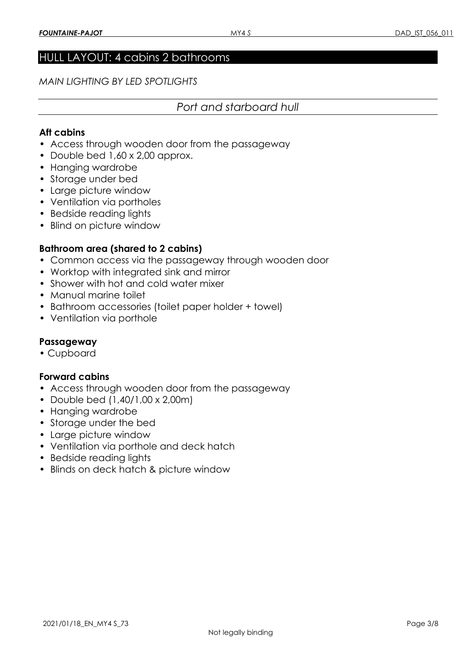#### HULL LAYOUT: 4 cabins 2 bathrooms

*MAIN LIGHTING BY LED SPOTLIGHTS* 

#### *Port and starboard hull*

#### **Aft cabins**

- Access through wooden door from the passageway
- Double bed 1,60 x 2,00 approx.
- Hanging wardrobe
- Storage under bed
- Large picture window
- Ventilation via portholes
- Bedside reading lights
- Blind on picture window

#### **Bathroom area (shared to 2 cabins)**

- Common access via the passageway through wooden door
- Worktop with integrated sink and mirror
- Shower with hot and cold water mixer
- Manual marine toilet
- Bathroom accessories (toilet paper holder + towel)
- Ventilation via porthole

#### **Passageway**

• Cupboard

#### **Forward cabins**

- Access through wooden door from the passageway
- Double bed (1,40/1,00 x 2,00m)
- Hanging wardrobe
- Storage under the bed
- Large picture window
- Ventilation via porthole and deck hatch
- Bedside reading lights
- Blinds on deck hatch & picture window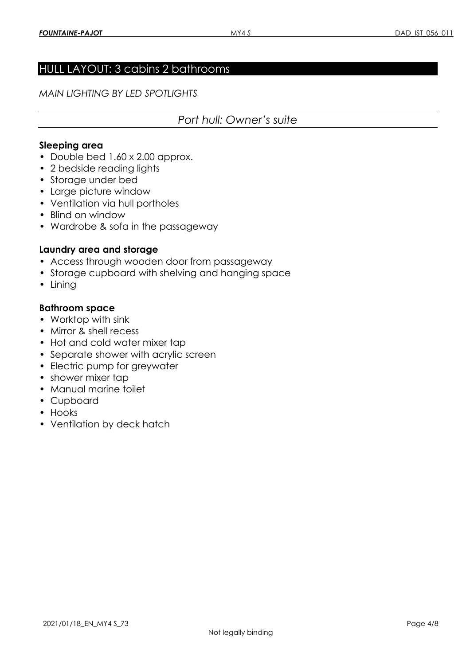# HULL LAYOUT: 3 cabins 2 bathrooms

*MAIN LIGHTING BY LED SPOTLIGHTS* 

# *Port hull: Owner's suite*

#### **Sleeping area**

- Double bed 1.60 x 2.00 approx.
- 2 bedside reading lights
- Storage under bed
- Large picture window
- Ventilation via hull portholes
- Blind on window
- Wardrobe & sofa in the passageway

#### **Laundry area and storage**

- Access through wooden door from passageway
- Storage cupboard with shelving and hanging space
- Lining

#### **Bathroom space**

- Worktop with sink
- Mirror & shell recess
- Hot and cold water mixer tap
- Separate shower with acrylic screen
- Electric pump for greywater
- shower mixer tap
- Manual marine toilet
- Cupboard
- Hooks
- Ventilation by deck hatch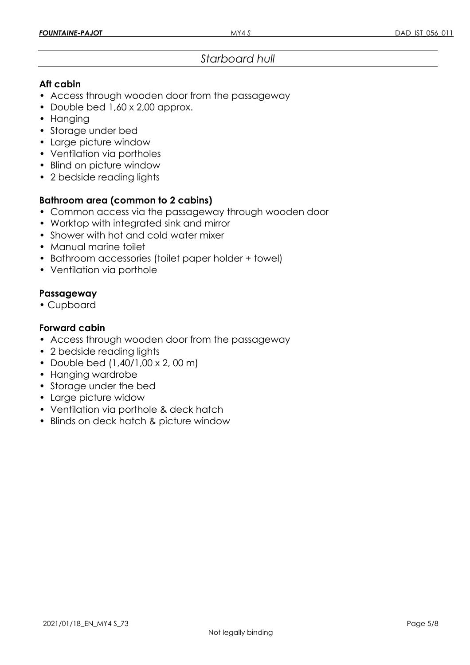# *Starboard hull*

#### **Aft cabin**

- Access through wooden door from the passageway
- Double bed 1,60 x 2,00 approx.
- Hanging
- Storage under bed
- Large picture window
- Ventilation via portholes
- Blind on picture window
- 2 bedside reading lights

# **Bathroom area (common to 2 cabins)**

- Common access via the passageway through wooden door
- Worktop with integrated sink and mirror
- Shower with hot and cold water mixer
- Manual marine toilet
- Bathroom accessories (toilet paper holder + towel)
- Ventilation via porthole

#### **Passageway**

• Cupboard

#### **Forward cabin**

- Access through wooden door from the passageway
- 2 bedside reading lights
- Double bed (1,40/1,00 x 2, 00 m)
- Hanging wardrobe
- Storage under the bed
- Large picture widow
- Ventilation via porthole & deck hatch
- Blinds on deck hatch & picture window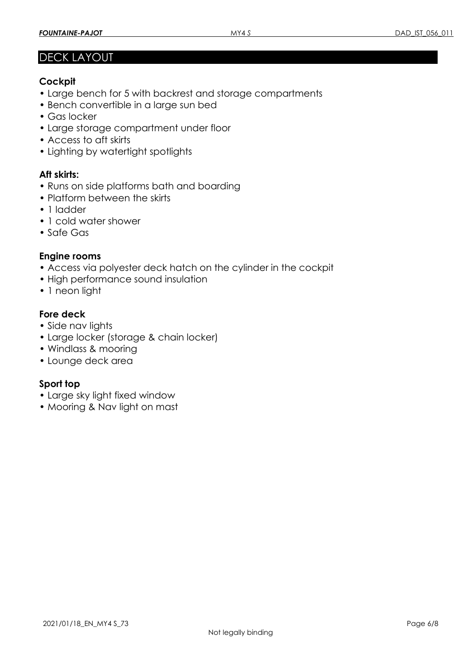# DECK LAYOUT

# **Cockpit**

- Large bench for 5 with backrest and storage compartments
- Bench convertible in a large sun bed
- Gas locker
- Large storage compartment under floor
- Access to aft skirts
- Lighting by watertight spotlights

# **Aft skirts:**

- Runs on side platforms bath and boarding
- Platform between the skirts
- 1 ladder
- 1 cold water shower
- Safe Gas

#### **Engine rooms**

- Access via polyester deck hatch on the cylinder in the cockpit
- High performance sound insulation
- 1 neon light

# **Fore deck**

- Side nav lights
- Large locker (storage & chain locker)
- Windlass & mooring
- Lounge deck area

# **Sport top**

- Large sky light fixed window
- Mooring & Nav light on mast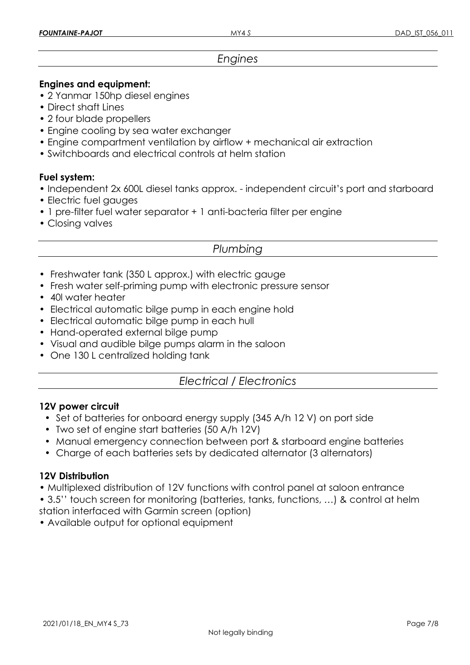# *Engines*

#### **Engines and equipment:**

- 2 Yanmar 150hp diesel engines
- Direct shaft Lines
- 2 four blade propellers
- Engine cooling by sea water exchanger
- Engine compartment ventilation by airflow + mechanical air extraction
- Switchboards and electrical controls at helm station

#### **Fuel system:**

- Independent 2x 600L diesel tanks approx. independent circuit's port and starboard
- Electric fuel gauges
- 1 pre-filter fuel water separator + 1 anti-bacteria filter per engine
- Closing valves

# *Plumbing*

- Freshwater tank (350 L approx.) with electric gauge
- Fresh water self-priming pump with electronic pressure sensor
- 40l water heater
- Electrical automatic bilge pump in each engine hold
- Electrical automatic bilge pump in each hull
- Hand-operated external bilge pump
- Visual and audible bilge pumps alarm in the saloon
- One 130 L centralized holding tank

# *Electrical / Electronics*

#### **12V power circuit**

- Set of batteries for onboard energy supply (345 A/h 12 V) on port side
- Two set of engine start batteries (50 A/h 12V)
- Manual emergency connection between port & starboard engine batteries
- Charge of each batteries sets by dedicated alternator (3 alternators)

#### **12V Distribution**

- Multiplexed distribution of 12V functions with control panel at saloon entrance
- 3.5'' touch screen for monitoring (batteries, tanks, functions, …) & control at helm station interfaced with Garmin screen (option)

• Available output for optional equipment